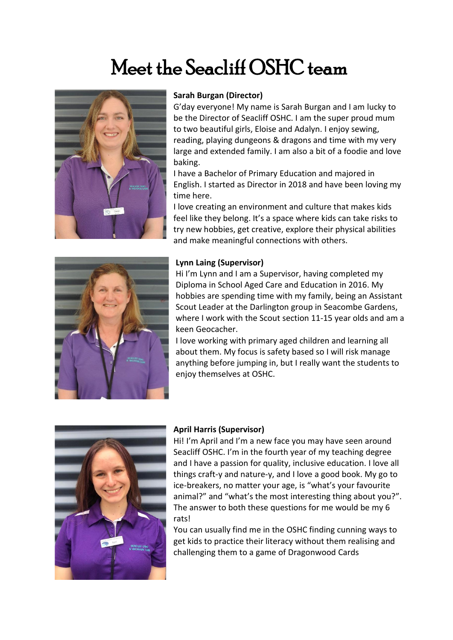# Meet the Seacliff OSHC team



#### **Sarah Burgan (Director)**

G'day everyone! My name is Sarah Burgan and I am lucky to be the Director of Seacliff OSHC. I am the super proud mum to two beautiful girls, Eloise and Adalyn. I enjoy sewing, reading, playing dungeons & dragons and time with my very large and extended family. I am also a bit of a foodie and love baking.

I have a Bachelor of Primary Education and majored in English. I started as Director in 2018 and have been loving my time here.

I love creating an environment and culture that makes kids feel like they belong. It's a space where kids can take risks to try new hobbies, get creative, explore their physical abilities and make meaningful connections with others.



#### **Lynn Laing (Supervisor)**

Hi I'm Lynn and I am a Supervisor, having completed my Diploma in School Aged Care and Education in 2016. My hobbies are spending time with my family, being an Assistant Scout Leader at the Darlington group in Seacombe Gardens, where I work with the Scout section 11-15 year olds and am a keen Geocacher.

I love working with primary aged children and learning all about them. My focus is safety based so I will risk manage anything before jumping in, but I really want the students to enjoy themselves at OSHC.



## **April Harris (Supervisor)**

Hi! I'm April and I'm a new face you may have seen around Seacliff OSHC. I'm in the fourth year of my teaching degree and I have a passion for quality, inclusive education. I love all things craft-y and nature-y, and I love a good book. My go to ice-breakers, no matter your age, is "what's your favourite animal?" and "what's the most interesting thing about you?". The answer to both these questions for me would be my 6 rats!

You can usually find me in the OSHC finding cunning ways to get kids to practice their literacy without them realising and challenging them to a game of Dragonwood Cards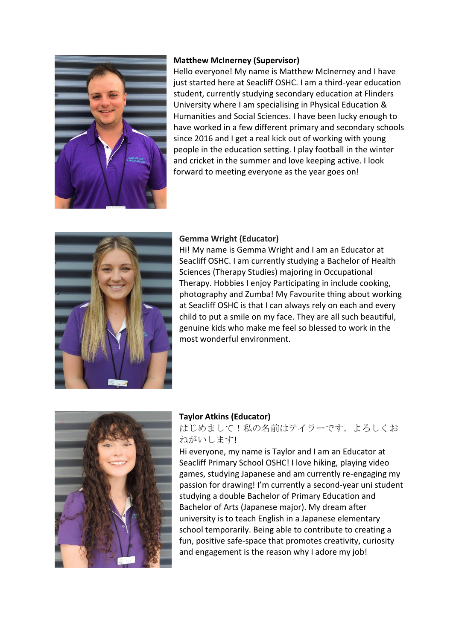

## **Matthew McInerney (Supervisor)**

Hello everyone! My name is Matthew McInerney and I have just started here at Seacliff OSHC. I am a third-year education student, currently studying secondary education at Flinders University where I am specialising in Physical Education & Humanities and Social Sciences. I have been lucky enough to have worked in a few different primary and secondary schools since 2016 and I get a real kick out of working with young people in the education setting. I play football in the winter and cricket in the summer and love keeping active. I look forward to meeting everyone as the year goes on!



## **Gemma Wright (Educator)**

Hi! My name is Gemma Wright and I am an Educator at Seacliff OSHC. I am currently studying a Bachelor of Health Sciences (Therapy Studies) majoring in Occupational Therapy. Hobbies I enjoy Participating in include cooking, photography and Zumba! My Favourite thing about working at Seacliff OSHC is that I can always rely on each and every child to put a smile on my face. They are all such beautiful, genuine kids who make me feel so blessed to work in the most wonderful environment.



## **Taylor Atkins (Educator)**

## はじめまして!私の名前はテイラーです。よろしくお ねがいします!

Hi everyone, my name is Taylor and I am an Educator at Seacliff Primary School OSHC! I love hiking, playing video games, studying Japanese and am currently re-engaging my passion for drawing! I'm currently a second-year uni student studying a double Bachelor of Primary Education and Bachelor of Arts (Japanese major). My dream after university is to teach English in a Japanese elementary school temporarily. Being able to contribute to creating a fun, positive safe-space that promotes creativity, curiosity and engagement is the reason why I adore my job!